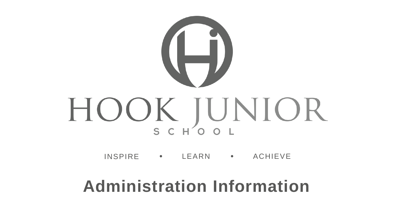

INSPIRE • LEARN • ACHIEVE

#### **Administration Information**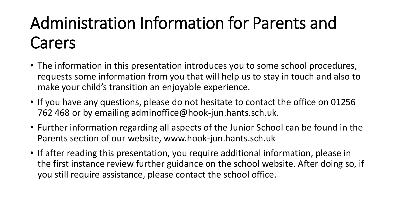# Administration Information for Parents and Carers

- The information in this presentation introduces you to some school procedures, requests some information from you that will help us to stay in touch and also to make your child's transition an enjoyable experience.
- If you have any questions, please do not hesitate to contact the office on 01256 762 468 or by emailing adminoffice@hook-jun.hants.sch.uk.
- Further information regarding all aspects of the Junior School can be found in the Parents section of our website, www.hook-jun.hants.sch.uk
- If after reading this presentation, you require additional information, please in the first instance review further guidance on the school website. After doing so, if you still require assistance, please contact the school office.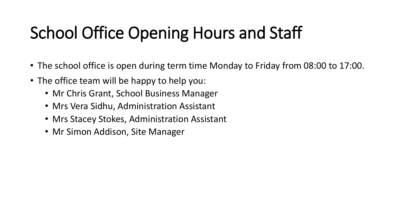# School Office Opening Hours and Staff

- The school office is open during term time Monday to Friday from 08:00 to 17:00.
- The office team will be happy to help you:
	- Mr Chris Grant, School Business Manager
	- Mrs Vera Sidhu, Administration Assistant
	- Mrs Stacey Stokes, Administration Assistant
	- Mr Simon Addison, Site Manager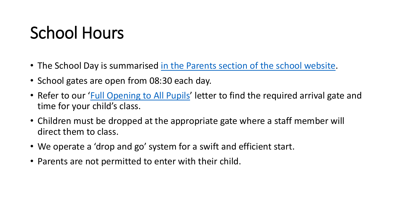## School Hours

- The School Day is summarised [in the Parents section of the school website.](https://www.hook-jun.hants.sch.uk/index.php/parents/the-school-day)
- School gates are open from 08:30 each day.
- Refer to our '[Full Opening to All Pupils](https://www.hook-jun.hants.sch.uk/index.php/parents/letters/1255-full-opening-to-all-pupils-on-7th-september-2020/file)' letter to find the required arrival gate and time for your child's class.
- Children must be dropped at the appropriate gate where a staff member will direct them to class.
- We operate a 'drop and go' system for a swift and efficient start.
- Parents are not permitted to enter with their child.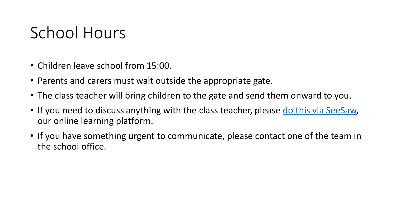### School Hours

- Children leave school from 15:00.
- Parents and carers must wait outside the appropriate gate.
- The class teacher will bring children to the gate and send them onward to you.
- If you need to discuss anything with the class teacher, please [do this via SeeSaw,](https://www.hook-jun.hants.sch.uk/index.php/pupils) our online learning platform.
- If you have something urgent to communicate, please contact one of the team in the school office.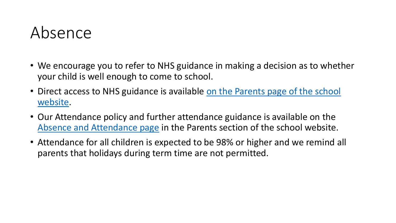#### Absence

- We encourage you to refer to NHS guidance in making a decision as to whether your child is well enough to come to school.
- Direct access to NHS guidance is available on the Parents page of the school website.
- Our Attendance policy and further attendance guidance is available on the [Absence and Attendance page](https://www.hook-jun.hants.sch.uk/index.php/parents/absence-and-attendance) in the Parents section of the school website.
- Attendance for all children is expected to be 98% or higher and we remind all parents that holidays during term time are not permitted.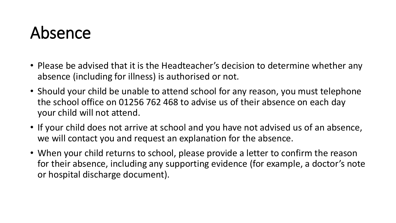### Absence

- Please be advised that it is the Headteacher's decision to determine whether any absence (including for illness) is authorised or not.
- Should your child be unable to attend school for any reason, you must telephone the school office on 01256 762 468 to advise us of their absence on each day your child will not attend.
- If your child does not arrive at school and you have not advised us of an absence, we will contact you and request an explanation for the absence.
- When your child returns to school, please provide a letter to confirm the reason for their absence, including any supporting evidence (for example, a doctor's note or hospital discharge document).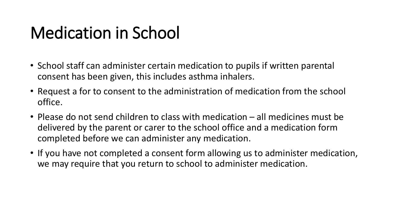## Medication in School

- School staff can administer certain medication to pupils if written parental consent has been given, this includes asthma inhalers.
- Request a for to consent to the administration of medication from the school office.
- Please do not send children to class with medication all medicines must be delivered by the parent or carer to the school office and a medication form completed before we can administer any medication.
- If you have not completed a consent form allowing us to administer medication, we may require that you return to school to administer medication.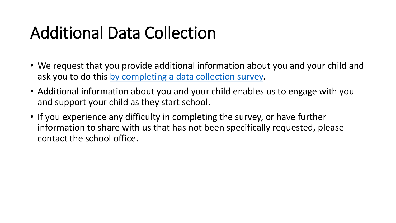## Additional Data Collection

- We request that you provide additional information about you and your child and ask you to do this [by completing a data collection survey.](https://www.surveymonkey.co.uk/r/MH983WS)
- Additional information about you and your child enables us to engage with you and support your child as they start school.
- If you experience any difficulty in completing the survey, or have further information to share with us that has not been specifically requested, please contact the school office.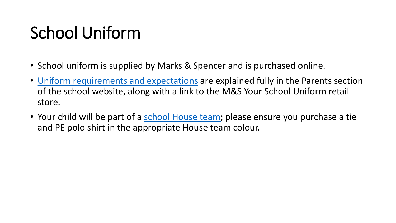## School Uniform

- School uniform is supplied by Marks & Spencer and is purchased online.
- [Uniform requirements and expectations](https://www.hook-jun.hants.sch.uk/index.php/parents/school-uniform) are explained fully in the Parents section of the school website, along with a link to the M&S Your School Uniform retail store.
- Your child will be part of a [school House team;](https://www.hook-jun.hants.sch.uk/index.php/about-our-school/school-houses) please ensure you purchase a tie and PE polo shirt in the appropriate House team colour.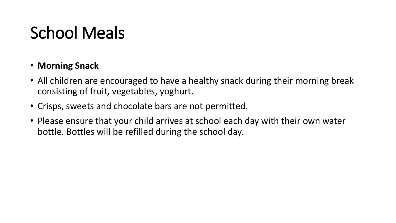- **Morning Snack**
- All children are encouraged to have a healthy snack during their morning break consisting of fruit, vegetables, yoghurt.
- Crisps, sweets and chocolate bars are not permitted.
- Please ensure that your child arrives at school each day with their own water bottle. Bottles will be refilled during the school day.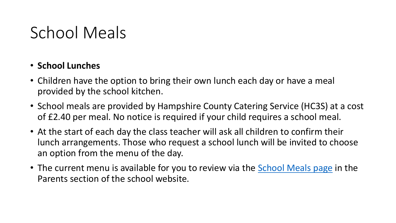#### • **School Lunches**

- Children have the option to bring their own lunch each day or have a meal provided by the school kitchen.
- School meals are provided by Hampshire County Catering Service (HC3S) at a cost of £2.40 per meal. No notice is required if your child requires a school meal.
- At the start of each day the class teacher will ask all children to confirm their lunch arrangements. Those who request a school lunch will be invited to choose an option from the menu of the day.
- The current menu is available for you to review via the **School Meals page** in the Parents section of the school website.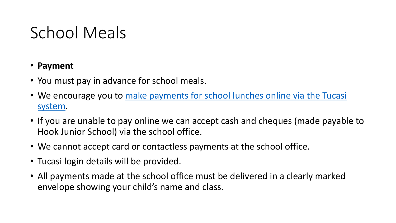- **Payment**
- You must pay in advance for school meals.
- [We encourage you to make payments for school lunches online via the Tucasi](https://www.hook-jun.hants.sch.uk/index.php/parents/assessment-parentsmenu-11) system.
- If you are unable to pay online we can accept cash and cheques (made payable to Hook Junior School) via the school office.
- We cannot accept card or contactless payments at the school office.
- Tucasi login details will be provided.
- All payments made at the school office must be delivered in a clearly marked envelope showing your child's name and class.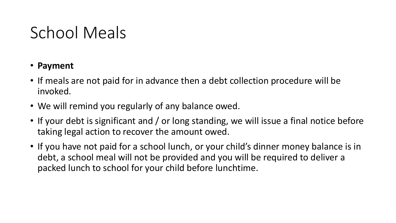- **Payment**
- If meals are not paid for in advance then a debt collection procedure will be invoked.
- We will remind you regularly of any balance owed.
- If your debt is significant and / or long standing, we will issue a final notice before taking legal action to recover the amount owed.
- If you have not paid for a school lunch, or your child's dinner money balance is in debt, a school meal will not be provided and you will be required to deliver a packed lunch to school for your child before lunchtime.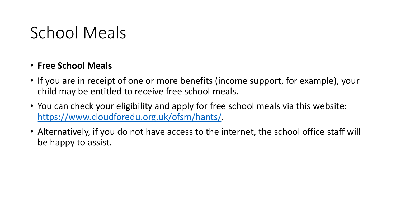#### • **Free School Meals**

- If you are in receipt of one or more benefits (income support, for example), your child may be entitled to receive free school meals.
- You can check your eligibility and apply for free school meals via this website: <https://www.cloudforedu.org.uk/ofsm/hants/>.
- Alternatively, if you do not have access to the internet, the school office staff will be happy to assist.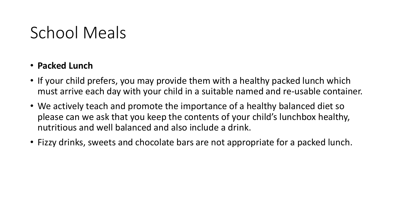#### • **Packed Lunch**

- If your child prefers, you may provide them with a healthy packed lunch which must arrive each day with your child in a suitable named and re-usable container.
- We actively teach and promote the importance of a healthy balanced diet so please can we ask that you keep the contents of your child's lunchbox healthy, nutritious and well balanced and also include a drink.
- Fizzy drinks, sweets and chocolate bars are not appropriate for a packed lunch.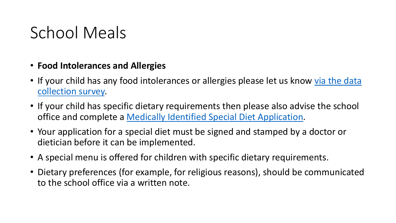- **Food Intolerances and Allergies**
- If your child has any food intolerances or allergies please let us know via the data collection survey.
- If your child has specific dietary requirements then please also advise the school office and complete a [Medically Identified Special Diet Application](https://documents.hants.gov.uk/HC3S/MedicalSpecialDietForm.pdf).
- Your application for a special diet must be signed and stamped by a doctor or dietician before it can be implemented.
- A special menu is offered for children with specific dietary requirements.
- Dietary preferences (for example, for religious reasons), should be communicated to the school office via a written note.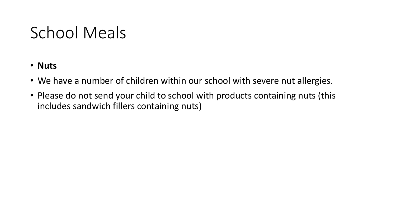- **Nuts**
- We have a number of children within our school with severe nut allergies.
- Please do not send your child to school with products containing nuts (this includes sandwich fillers containing nuts)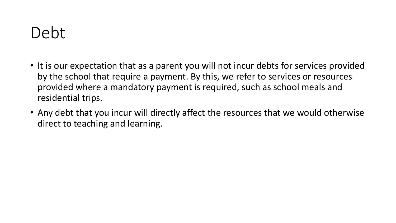#### Debt

- It is our expectation that as a parent you will not incur debts for services provided by the school that require a payment. By this, we refer to services or resources provided where a mandatory payment is required, such as school meals and residential trips.
- Any debt that you incur will directly affect the resources that we would otherwise direct to teaching and learning.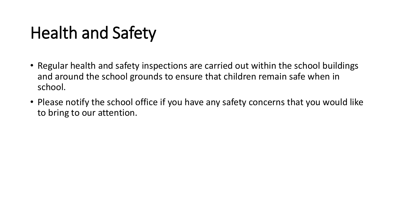## Health and Safety

- Regular health and safety inspections are carried out within the school buildings and around the school grounds to ensure that children remain safe when in school.
- Please notify the school office if you have any safety concerns that you would like to bring to our attention.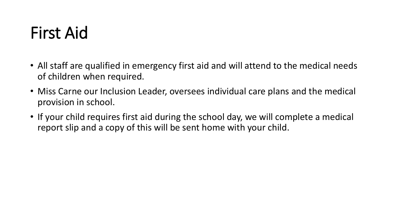## First Aid

- All staff are qualified in emergency first aid and will attend to the medical needs of children when required.
- Miss Carne our Inclusion Leader, oversees individual care plans and the medical provision in school.
- If your child requires first aid during the school day, we will complete a medical report slip and a copy of this will be sent home with your child.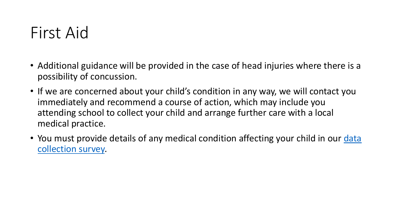#### First Aid

- Additional guidance will be provided in the case of head injuries where there is a possibility of concussion.
- If we are concerned about your child's condition in any way, we will contact you immediately and recommend a course of action, which may include you attending school to collect your child and arrange further care with a local medical practice.
- You must provide details of any medical condition affecting your child in our data collection survey.